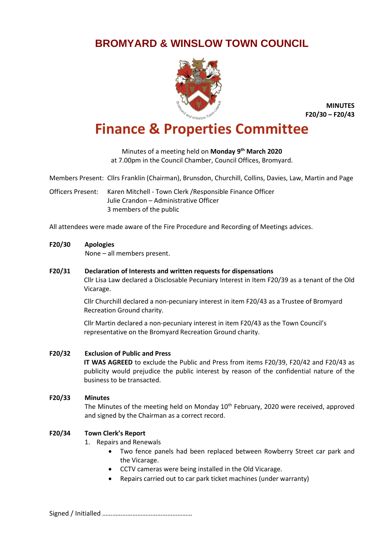# **BROMYARD & WINSLOW TOWN COUNCIL**



**MINUTES F20/30 – F20/43**

# **Finance & Properties Committee**

Minutes of a meeting held on **Monday 9 th March 2020** at 7.00pm in the Council Chamber, Council Offices, Bromyard.

Members Present: Cllrs Franklin (Chairman), Brunsdon, Churchill, Collins, Davies, Law, Martin and Page

Officers Present: Karen Mitchell - Town Clerk /Responsible Finance Officer Julie Crandon – Administrative Officer 3 members of the public

All attendees were made aware of the Fire Procedure and Recording of Meetings advices.

#### **F20/30 Apologies**

None – all members present.

#### **F20/31 Declaration of Interests and written requests for dispensations**

Cllr Lisa Law declared a Disclosable Pecuniary Interest in Item F20/39 as a tenant of the Old Vicarage.

Cllr Churchill declared a non-pecuniary interest in item F20/43 as a Trustee of Bromyard Recreation Ground charity.

Cllr Martin declared a non-pecuniary interest in item F20/43 as the Town Council's representative on the Bromyard Recreation Ground charity.

# **F20/32 Exclusion of Public and Press**

**IT WAS AGREED** to exclude the Public and Press from items F20/39, F20/42 and F20/43 as publicity would prejudice the public interest by reason of the confidential nature of the business to be transacted.

# **F20/33 Minutes**

The Minutes of the meeting held on Monday 10<sup>th</sup> February, 2020 were received, approved and signed by the Chairman as a correct record.

# **F20/34 Town Clerk's Report**

- 1. Repairs and Renewals
	- Two fence panels had been replaced between Rowberry Street car park and the Vicarage.
	- CCTV cameras were being installed in the Old Vicarage.
	- Repairs carried out to car park ticket machines (under warranty)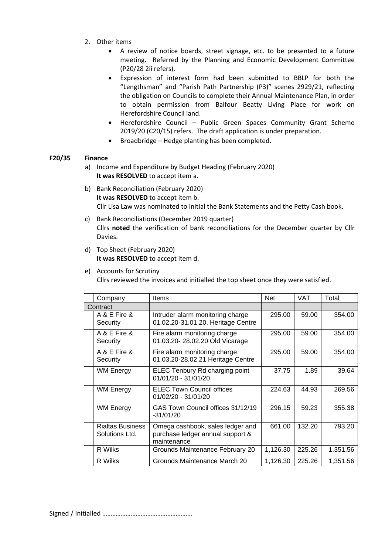- 2. Other items
	- A review of notice boards, street signage, etc. to be presented to a future meeting. Referred by the Planning and Economic Development Committee (P20/28 2ii refers).
	- Expression of interest form had been submitted to BBLP for both the "Lengthsman" and "Parish Path Partnership (P3)" scenes 2929/21, reflecting the obligation on Councils to complete their Annual Maintenance Plan, in order to obtain permission from Balfour Beatty Living Place for work on Herefordshire Council land.
	- Herefordshire Council Public Green Spaces Community Grant Scheme 2019/20 (C20/15) refers. The draft application is under preparation.
	- Broadbridge Hedge planting has been completed.

# **F20/35 Finance**

- a) Income and Expenditure by Budget Heading (February 2020) **It was RESOLVED** to accept item a.
- b) Bank Reconciliation (February 2020) **It was RESOLVED** to accept item b. Cllr Lisa Law was nominated to initial the Bank Statements and the Petty Cash book.
- c) Bank Reconciliations (December 2019 quarter) Cllrs **noted** the verification of bank reconciliations for the December quarter by Cllr Davies.
- d) Top Sheet (February 2020) **It was RESOLVED** to accept item d.

# e) Accounts for Scrutiny

Cllrs reviewed the invoices and initialled the top sheet once they were satisfied.

|          | Company                                   | Items                                                                               | <b>Net</b> | <b>VAT</b> | Total    |
|----------|-------------------------------------------|-------------------------------------------------------------------------------------|------------|------------|----------|
| Contract |                                           |                                                                                     |            |            |          |
|          | A & E Fire &<br>Security                  | Intruder alarm monitoring charge<br>01.02.20-31.01.20. Heritage Centre              | 295.00     | 59.00      | 354.00   |
|          | A & E Fire &<br>Security                  | Fire alarm monitoring charge<br>01.03.20-28.02.20 Old Vicarage                      | 295.00     | 59.00      | 354.00   |
|          | A & E Fire &<br>Security                  | Fire alarm monitoring charge<br>01.03.20-28.02.21 Heritage Centre                   | 295.00     | 59.00      | 354.00   |
|          | <b>WM Energy</b>                          | ELEC Tenbury Rd charging point<br>01/01/20 - 31/01/20                               | 37.75      | 1.89       | 39.64    |
|          | <b>WM Energy</b>                          | <b>ELEC Town Council offices</b><br>01/02/20 - 31/01/20                             | 224.63     | 44.93      | 269.56   |
|          | <b>WM Energy</b>                          | GAS Town Council offices 31/12/19<br>$-31/01/20$                                    | 296.15     | 59.23      | 355.38   |
|          | <b>Rialtas Business</b><br>Solutions Ltd. | Omega cashbook, sales ledger and<br>purchase ledger annual support &<br>maintenance | 661.00     | 132.20     | 793.20   |
|          | R Wilks                                   | Grounds Maintenance February 20                                                     | 1,126.30   | 225.26     | 1,351.56 |
|          | R Wilks                                   | Grounds Maintenance March 20                                                        | 1,126.30   | 225.26     | 1,351.56 |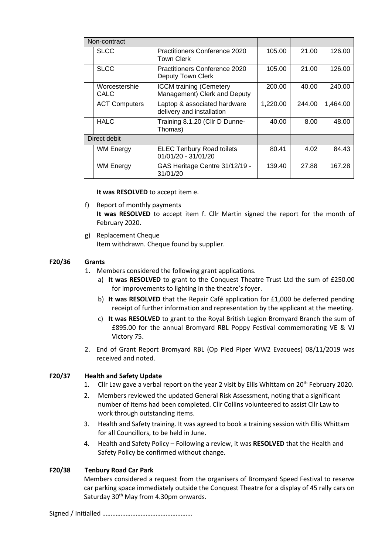| Non-contract |                              |                                                                |          |        |          |
|--------------|------------------------------|----------------------------------------------------------------|----------|--------|----------|
|              | <b>SLCC</b>                  | Practitioners Conference 2020<br>Town Clerk                    | 105.00   | 21.00  | 126.00   |
|              | <b>SLCC</b>                  | Practitioners Conference 2020<br>Deputy Town Clerk             | 105.00   | 21.00  | 126.00   |
|              | Worcestershie<br><b>CALC</b> | <b>ICCM</b> training (Cemetery<br>Management) Clerk and Deputy | 200.00   | 40.00  | 240.00   |
|              | <b>ACT Computers</b>         | Laptop & associated hardware<br>delivery and installation      | 1,220.00 | 244.00 | 1,464.00 |
|              | <b>HALC</b>                  | Training 8.1.20 (Cllr D Dunne-<br>Thomas)                      | 40.00    | 8.00   | 48.00    |
| Direct debit |                              |                                                                |          |        |          |
|              | <b>WM Energy</b>             | <b>ELEC Tenbury Road toilets</b><br>01/01/20 - 31/01/20        | 80.41    | 4.02   | 84.43    |
|              | <b>WM Energy</b>             | GAS Heritage Centre 31/12/19 -<br>31/01/20                     | 139.40   | 27.88  | 167.28   |

**It was RESOLVED** to accept item e.

- f) Report of monthly payments **It was RESOLVED** to accept item f. Cllr Martin signed the report for the month of February 2020.
- g) Replacement Cheque Item withdrawn. Cheque found by supplier.

# **F20/36 Grants**

- 1. Members considered the following grant applications.
	- a) **It was RESOLVED** to grant to the Conquest Theatre Trust Ltd the sum of £250.00 for improvements to lighting in the theatre's foyer.
	- b) **It was RESOLVED** that the Repair Café application for £1,000 be deferred pending receipt of further information and representation by the applicant at the meeting.
	- c) **It was RESOLVED** to grant to the Royal British Legion Bromyard Branch the sum of £895.00 for the annual Bromyard RBL Poppy Festival commemorating VE & VJ Victory 75.
- 2. End of Grant Report Bromyard RBL (Op Pied Piper WW2 Evacuees) 08/11/2019 was received and noted.

# **F20/37 Health and Safety Update**

- 1. Cllr Law gave a verbal report on the year 2 visit by Ellis Whittam on 20<sup>th</sup> February 2020.
- 2. Members reviewed the updated General Risk Assessment, noting that a significant number of items had been completed. Cllr Collins volunteered to assist Cllr Law to work through outstanding items.
- 3. Health and Safety training. It was agreed to book a training session with Ellis Whittam for all Councillors, to be held in June.
- 4. Health and Safety Policy Following a review, it was **RESOLVED** that the Health and Safety Policy be confirmed without change.

# **F20/38 Tenbury Road Car Park**

Members considered a request from the organisers of Bromyard Speed Festival to reserve car parking space immediately outside the Conquest Theatre for a display of 45 rally cars on Saturday 30<sup>th</sup> May from 4.30pm onwards.